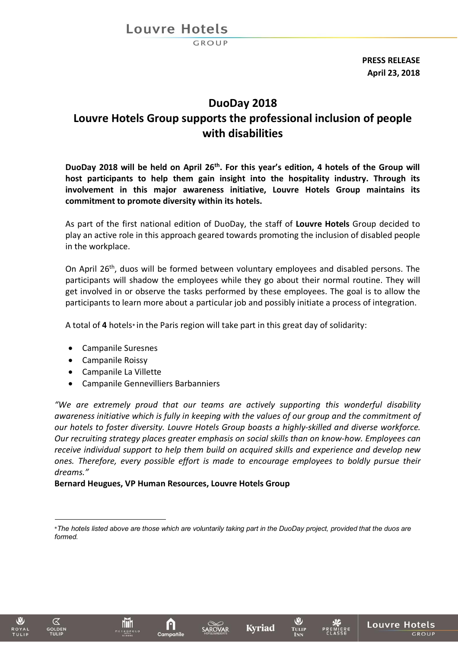Louvre Hotels

 $BROUP$ 

**PRESS RELEASE April 23, 2018**

# **DuoDay 2018 Louvre Hotels Group supports the professional inclusion of people with disabilities**

DuoDay 2018 will be held on April 26<sup>th</sup>. For this year's edition, 4 hotels of the Group will **host participants to help them gain insight into the hospitality industry. Through its involvement in this major awareness initiative, Louvre Hotels Group maintains its commitment to promote diversity within its hotels.**

As part of the first national edition of DuoDay, the staff of **Louvre Hotels** Group decided to play an active role in this approach geared towards promoting the inclusion of disabled people in the workplace.

On April 26<sup>th</sup>, duos will be formed between voluntary employees and disabled persons. The participants will shadow the employees while they go about their normal routine. They will get involved in or observe the tasks performed by these employees. The goal is to allow the participants to learn more about a particular job and possibly initiate a process of integration.

A total of **4** hotels\* in the Paris region will take part in this great day of solidarity:

- Campanile Suresnes
- Campanile Roissy
- Campanile La Villette
- Campanile Gennevilliers Barbanniers

*"We are extremely proud that our teams are actively supporting this wonderful disability awareness initiative which is fully in keeping with the values of our group and the commitment of our hotels to foster diversity. Louvre Hotels Group boasts a highly-skilled and diverse workforce. Our recruiting strategy places greater emphasis on social skills than on know-how. Employees can receive individual support to help them build on acquired skills and experience and develop new ones. Therefore, every possible effort is made to encourage employees to boldly pursue their dreams."*

### **Bernard Heugues, VP Human Resources, Louvre Hotels Group**

 $\mathbf{a}$ 

Campanile

নে







W

TULIP

<sup>\*</sup>*The hotels listed above are those which are voluntarily taking part in the DuoDay project, provided that the duos are formed.*